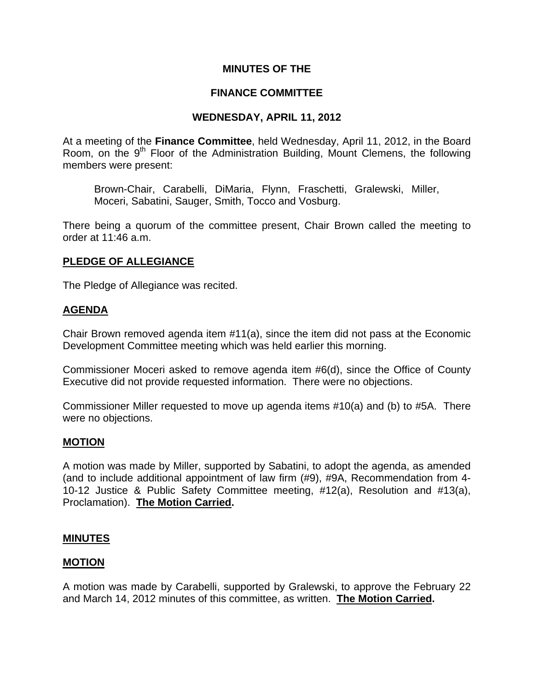### **MINUTES OF THE**

### **FINANCE COMMITTEE**

### **WEDNESDAY, APRIL 11, 2012**

At a meeting of the **Finance Committee**, held Wednesday, April 11, 2012, in the Board Room, on the  $9<sup>th</sup>$  Floor of the Administration Building, Mount Clemens, the following members were present:

Brown-Chair, Carabelli, DiMaria, Flynn, Fraschetti, Gralewski, Miller, Moceri, Sabatini, Sauger, Smith, Tocco and Vosburg.

There being a quorum of the committee present, Chair Brown called the meeting to order at 11:46 a.m.

### **PLEDGE OF ALLEGIANCE**

The Pledge of Allegiance was recited.

### **AGENDA**

Chair Brown removed agenda item #11(a), since the item did not pass at the Economic Development Committee meeting which was held earlier this morning.

Commissioner Moceri asked to remove agenda item #6(d), since the Office of County Executive did not provide requested information. There were no objections.

Commissioner Miller requested to move up agenda items #10(a) and (b) to #5A. There were no objections.

#### **MOTION**

A motion was made by Miller, supported by Sabatini, to adopt the agenda, as amended (and to include additional appointment of law firm (#9), #9A, Recommendation from 4- 10-12 Justice & Public Safety Committee meeting, #12(a), Resolution and #13(a), Proclamation). **The Motion Carried.** 

#### **MINUTES**

#### **MOTION**

A motion was made by Carabelli, supported by Gralewski, to approve the February 22 and March 14, 2012 minutes of this committee, as written. **The Motion Carried.**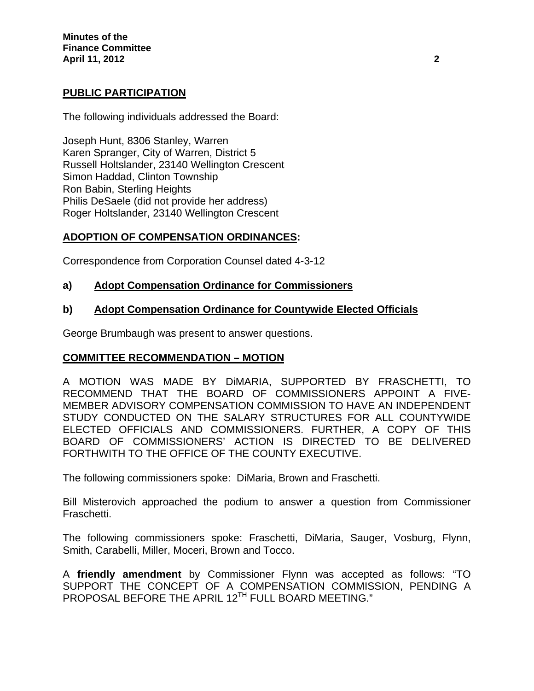# **PUBLIC PARTICIPATION**

The following individuals addressed the Board:

Joseph Hunt, 8306 Stanley, Warren Karen Spranger, City of Warren, District 5 Russell Holtslander, 23140 Wellington Crescent Simon Haddad, Clinton Township Ron Babin, Sterling Heights Philis DeSaele (did not provide her address) Roger Holtslander, 23140 Wellington Crescent

# **ADOPTION OF COMPENSATION ORDINANCES:**

Correspondence from Corporation Counsel dated 4-3-12

# **a) Adopt Compensation Ordinance for Commissioners**

# **b) Adopt Compensation Ordinance for Countywide Elected Officials**

George Brumbaugh was present to answer questions.

# **COMMITTEE RECOMMENDATION – MOTION**

A MOTION WAS MADE BY DiMARIA, SUPPORTED BY FRASCHETTI, TO RECOMMEND THAT THE BOARD OF COMMISSIONERS APPOINT A FIVE-MEMBER ADVISORY COMPENSATION COMMISSION TO HAVE AN INDEPENDENT STUDY CONDUCTED ON THE SALARY STRUCTURES FOR ALL COUNTYWIDE ELECTED OFFICIALS AND COMMISSIONERS. FURTHER, A COPY OF THIS BOARD OF COMMISSIONERS' ACTION IS DIRECTED TO BE DELIVERED FORTHWITH TO THE OFFICE OF THE COUNTY EXECUTIVE.

The following commissioners spoke: DiMaria, Brown and Fraschetti.

Bill Misterovich approached the podium to answer a question from Commissioner Fraschetti.

The following commissioners spoke: Fraschetti, DiMaria, Sauger, Vosburg, Flynn, Smith, Carabelli, Miller, Moceri, Brown and Tocco.

A **friendly amendment** by Commissioner Flynn was accepted as follows: "TO SUPPORT THE CONCEPT OF A COMPENSATION COMMISSION, PENDING A PROPOSAL BEFORE THE APRIL 12<sup>TH</sup> FULL BOARD MEETING."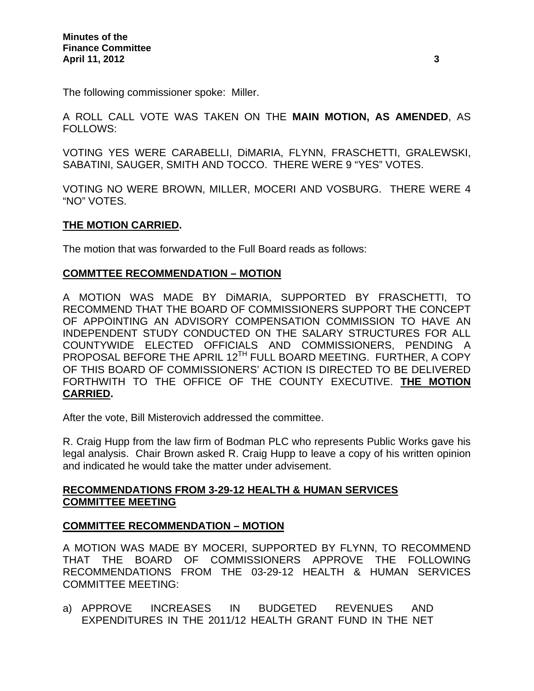The following commissioner spoke: Miller.

A ROLL CALL VOTE WAS TAKEN ON THE **MAIN MOTION, AS AMENDED**, AS FOLLOWS:

VOTING YES WERE CARABELLI, DiMARIA, FLYNN, FRASCHETTI, GRALEWSKI, SABATINI, SAUGER, SMITH AND TOCCO. THERE WERE 9 "YES" VOTES.

VOTING NO WERE BROWN, MILLER, MOCERI AND VOSBURG. THERE WERE 4 "NO" VOTES.

# **THE MOTION CARRIED.**

The motion that was forwarded to the Full Board reads as follows:

# **COMMTTEE RECOMMENDATION – MOTION**

A MOTION WAS MADE BY DiMARIA, SUPPORTED BY FRASCHETTI, TO RECOMMEND THAT THE BOARD OF COMMISSIONERS SUPPORT THE CONCEPT OF APPOINTING AN ADVISORY COMPENSATION COMMISSION TO HAVE AN INDEPENDENT STUDY CONDUCTED ON THE SALARY STRUCTURES FOR ALL COUNTYWIDE ELECTED OFFICIALS AND COMMISSIONERS, PENDING A PROPOSAL BEFORE THE APRIL 12<sup>TH</sup> FULL BOARD MEETING. FURTHER, A COPY OF THIS BOARD OF COMMISSIONERS' ACTION IS DIRECTED TO BE DELIVERED FORTHWITH TO THE OFFICE OF THE COUNTY EXECUTIVE. **THE MOTION CARRIED.**

After the vote, Bill Misterovich addressed the committee.

R. Craig Hupp from the law firm of Bodman PLC who represents Public Works gave his legal analysis. Chair Brown asked R. Craig Hupp to leave a copy of his written opinion and indicated he would take the matter under advisement.

# **RECOMMENDATIONS FROM 3-29-12 HEALTH & HUMAN SERVICES COMMITTEE MEETING**

# **COMMITTEE RECOMMENDATION – MOTION**

A MOTION WAS MADE BY MOCERI, SUPPORTED BY FLYNN, TO RECOMMEND THAT THE BOARD OF COMMISSIONERS APPROVE THE FOLLOWING RECOMMENDATIONS FROM THE 03-29-12 HEALTH & HUMAN SERVICES COMMITTEE MEETING:

a) APPROVE INCREASES IN BUDGETED REVENUES AND EXPENDITURES IN THE 2011/12 HEALTH GRANT FUND IN THE NET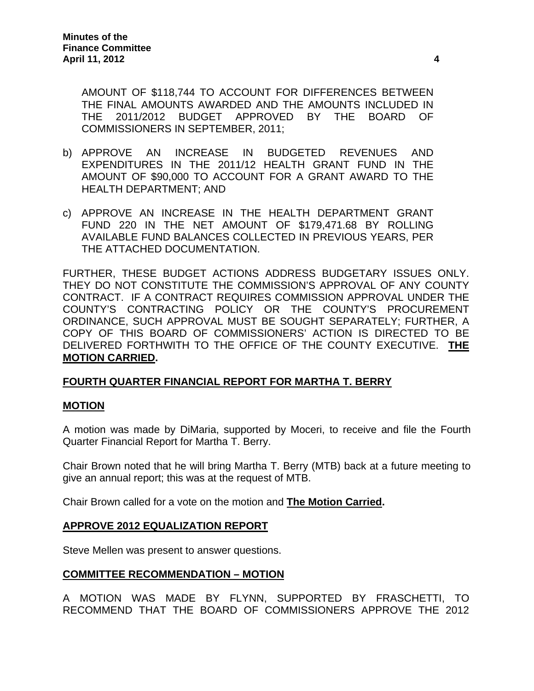AMOUNT OF \$118,744 TO ACCOUNT FOR DIFFERENCES BETWEEN THE FINAL AMOUNTS AWARDED AND THE AMOUNTS INCLUDED IN THE 2011/2012 BUDGET APPROVED BY THE BOARD OF COMMISSIONERS IN SEPTEMBER, 2011;

- b) APPROVE AN INCREASE IN BUDGETED REVENUES AND EXPENDITURES IN THE 2011/12 HEALTH GRANT FUND IN THE AMOUNT OF \$90,000 TO ACCOUNT FOR A GRANT AWARD TO THE HEALTH DEPARTMENT; AND
- c) APPROVE AN INCREASE IN THE HEALTH DEPARTMENT GRANT FUND 220 IN THE NET AMOUNT OF \$179,471.68 BY ROLLING AVAILABLE FUND BALANCES COLLECTED IN PREVIOUS YEARS, PER THE ATTACHED DOCUMENTATION.

FURTHER, THESE BUDGET ACTIONS ADDRESS BUDGETARY ISSUES ONLY. THEY DO NOT CONSTITUTE THE COMMISSION'S APPROVAL OF ANY COUNTY CONTRACT. IF A CONTRACT REQUIRES COMMISSION APPROVAL UNDER THE COUNTY'S CONTRACTING POLICY OR THE COUNTY'S PROCUREMENT ORDINANCE, SUCH APPROVAL MUST BE SOUGHT SEPARATELY; FURTHER, A COPY OF THIS BOARD OF COMMISSIONERS' ACTION IS DIRECTED TO BE DELIVERED FORTHWITH TO THE OFFICE OF THE COUNTY EXECUTIVE. **THE MOTION CARRIED.** 

# **FOURTH QUARTER FINANCIAL REPORT FOR MARTHA T. BERRY**

# **MOTION**

A motion was made by DiMaria, supported by Moceri, to receive and file the Fourth Quarter Financial Report for Martha T. Berry.

Chair Brown noted that he will bring Martha T. Berry (MTB) back at a future meeting to give an annual report; this was at the request of MTB.

Chair Brown called for a vote on the motion and **The Motion Carried.** 

#### **APPROVE 2012 EQUALIZATION REPORT**

Steve Mellen was present to answer questions.

# **COMMITTEE RECOMMENDATION – MOTION**

A MOTION WAS MADE BY FLYNN, SUPPORTED BY FRASCHETTI, TO RECOMMEND THAT THE BOARD OF COMMISSIONERS APPROVE THE 2012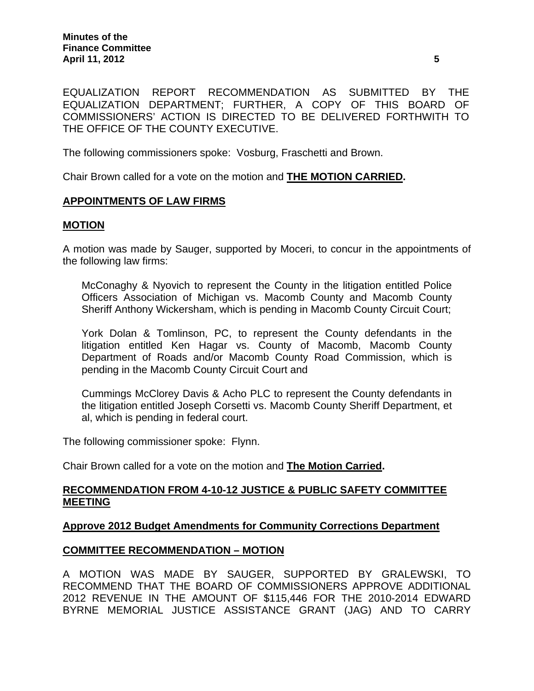EQUALIZATION REPORT RECOMMENDATION AS SUBMITTED BY THE EQUALIZATION DEPARTMENT; FURTHER, A COPY OF THIS BOARD OF COMMISSIONERS' ACTION IS DIRECTED TO BE DELIVERED FORTHWITH TO THE OFFICE OF THE COUNTY EXECUTIVE.

The following commissioners spoke: Vosburg, Fraschetti and Brown.

Chair Brown called for a vote on the motion and **THE MOTION CARRIED.** 

### **APPOINTMENTS OF LAW FIRMS**

#### **MOTION**

A motion was made by Sauger, supported by Moceri, to concur in the appointments of the following law firms:

McConaghy & Nyovich to represent the County in the litigation entitled Police Officers Association of Michigan vs. Macomb County and Macomb County Sheriff Anthony Wickersham, which is pending in Macomb County Circuit Court;

York Dolan & Tomlinson, PC, to represent the County defendants in the litigation entitled Ken Hagar vs. County of Macomb, Macomb County Department of Roads and/or Macomb County Road Commission, which is pending in the Macomb County Circuit Court and

Cummings McClorey Davis & Acho PLC to represent the County defendants in the litigation entitled Joseph Corsetti vs. Macomb County Sheriff Department, et al, which is pending in federal court.

The following commissioner spoke: Flynn.

Chair Brown called for a vote on the motion and **The Motion Carried.** 

#### **RECOMMENDATION FROM 4-10-12 JUSTICE & PUBLIC SAFETY COMMITTEE MEETING**

#### **Approve 2012 Budget Amendments for Community Corrections Department**

#### **COMMITTEE RECOMMENDATION – MOTION**

A MOTION WAS MADE BY SAUGER, SUPPORTED BY GRALEWSKI, TO RECOMMEND THAT THE BOARD OF COMMISSIONERS APPROVE ADDITIONAL 2012 REVENUE IN THE AMOUNT OF \$115,446 FOR THE 2010-2014 EDWARD BYRNE MEMORIAL JUSTICE ASSISTANCE GRANT (JAG) AND TO CARRY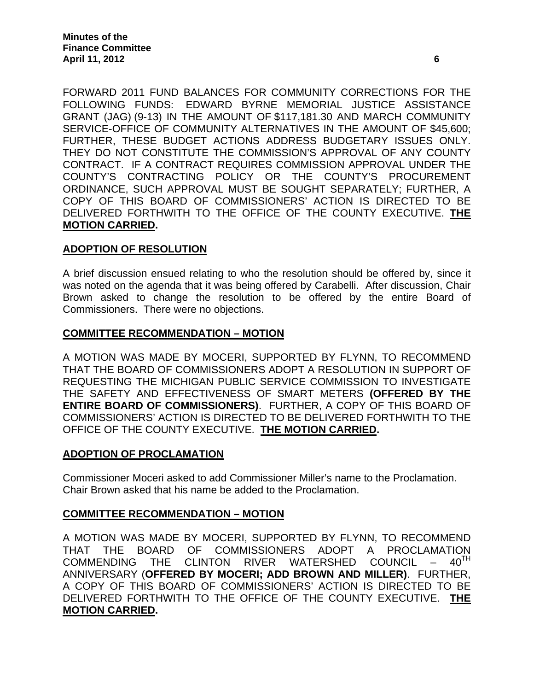FORWARD 2011 FUND BALANCES FOR COMMUNITY CORRECTIONS FOR THE FOLLOWING FUNDS: EDWARD BYRNE MEMORIAL JUSTICE ASSISTANCE GRANT (JAG) (9-13) IN THE AMOUNT OF \$117,181.30 AND MARCH COMMUNITY SERVICE-OFFICE OF COMMUNITY ALTERNATIVES IN THE AMOUNT OF \$45,600; FURTHER, THESE BUDGET ACTIONS ADDRESS BUDGETARY ISSUES ONLY. THEY DO NOT CONSTITUTE THE COMMISSION'S APPROVAL OF ANY COUNTY CONTRACT. IF A CONTRACT REQUIRES COMMISSION APPROVAL UNDER THE COUNTY'S CONTRACTING POLICY OR THE COUNTY'S PROCUREMENT ORDINANCE, SUCH APPROVAL MUST BE SOUGHT SEPARATELY; FURTHER, A COPY OF THIS BOARD OF COMMISSIONERS' ACTION IS DIRECTED TO BE DELIVERED FORTHWITH TO THE OFFICE OF THE COUNTY EXECUTIVE. **THE MOTION CARRIED.** 

### **ADOPTION OF RESOLUTION**

A brief discussion ensued relating to who the resolution should be offered by, since it was noted on the agenda that it was being offered by Carabelli. After discussion, Chair Brown asked to change the resolution to be offered by the entire Board of Commissioners. There were no objections.

#### **COMMITTEE RECOMMENDATION – MOTION**

A MOTION WAS MADE BY MOCERI, SUPPORTED BY FLYNN, TO RECOMMEND THAT THE BOARD OF COMMISSIONERS ADOPT A RESOLUTION IN SUPPORT OF REQUESTING THE MICHIGAN PUBLIC SERVICE COMMISSION TO INVESTIGATE THE SAFETY AND EFFECTIVENESS OF SMART METERS **(OFFERED BY THE ENTIRE BOARD OF COMMISSIONERS)**. FURTHER, A COPY OF THIS BOARD OF COMMISSIONERS' ACTION IS DIRECTED TO BE DELIVERED FORTHWITH TO THE OFFICE OF THE COUNTY EXECUTIVE. **THE MOTION CARRIED.** 

#### **ADOPTION OF PROCLAMATION**

Commissioner Moceri asked to add Commissioner Miller's name to the Proclamation. Chair Brown asked that his name be added to the Proclamation.

#### **COMMITTEE RECOMMENDATION – MOTION**

A MOTION WAS MADE BY MOCERI, SUPPORTED BY FLYNN, TO RECOMMEND THAT THE BOARD OF COMMISSIONERS ADOPT A PROCLAMATION<br>COMMENDING THE CLINTON RIVER WATERSHED COUNCIL – 40<sup>TH</sup> COMMENDING THE CLINTON RIVER WATERSHED ANNIVERSARY (**OFFERED BY MOCERI; ADD BROWN AND MILLER)**. FURTHER, A COPY OF THIS BOARD OF COMMISSIONERS' ACTION IS DIRECTED TO BE DELIVERED FORTHWITH TO THE OFFICE OF THE COUNTY EXECUTIVE. **THE MOTION CARRIED.**